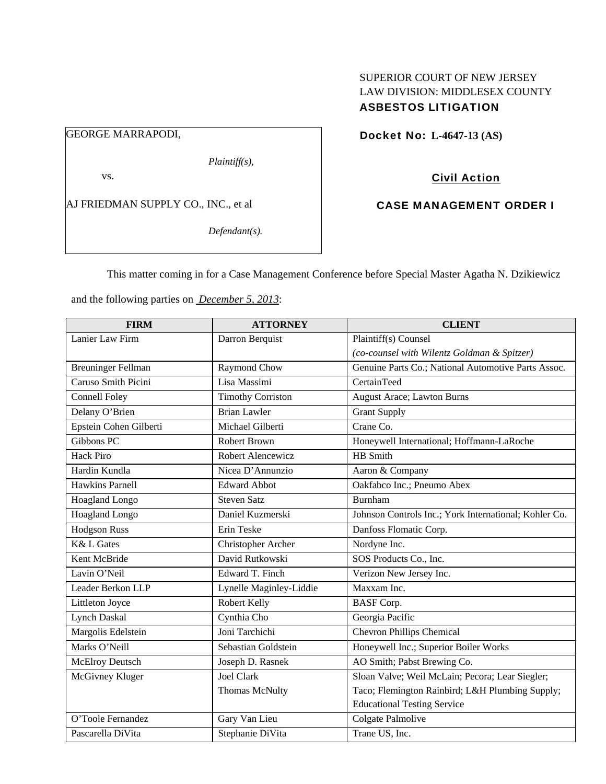## SUPERIOR COURT OF NEW JERSEY LAW DIVISION: MIDDLESEX COUNTY ASBESTOS LITIGATION

# GEORGE MARRAPODI,

*Plaintiff(s),* 

vs.

AJ FRIEDMAN SUPPLY CO., INC., et al

*Defendant(s).* 

Docket No: **L-4647-13 (AS)** 

# Civil Action

## CASE MANAGEMENT ORDER I

This matter coming in for a Case Management Conference before Special Master Agatha N. Dzikiewicz

and the following parties on *December 5, 2013*:

| <b>FIRM</b>               | <b>ATTORNEY</b>          | <b>CLIENT</b>                                         |
|---------------------------|--------------------------|-------------------------------------------------------|
| Lanier Law Firm           | Darron Berquist          | Plaintiff(s) Counsel                                  |
|                           |                          | (co-counsel with Wilentz Goldman & Spitzer)           |
| <b>Breuninger Fellman</b> | Raymond Chow             | Genuine Parts Co.; National Automotive Parts Assoc.   |
| Caruso Smith Picini       | Lisa Massimi             | CertainTeed                                           |
| <b>Connell Foley</b>      | <b>Timothy Corriston</b> | <b>August Arace; Lawton Burns</b>                     |
| Delany O'Brien            | <b>Brian Lawler</b>      | <b>Grant Supply</b>                                   |
| Epstein Cohen Gilberti    | Michael Gilberti         | Crane Co.                                             |
| Gibbons PC                | Robert Brown             | Honeywell International; Hoffmann-LaRoche             |
| <b>Hack Piro</b>          | Robert Alencewicz        | HB Smith                                              |
| Hardin Kundla             | Nicea D'Annunzio         | Aaron & Company                                       |
| <b>Hawkins Parnell</b>    | <b>Edward Abbot</b>      | Oakfabco Inc.; Pneumo Abex                            |
| <b>Hoagland Longo</b>     | <b>Steven Satz</b>       | Burnham                                               |
| Hoagland Longo            | Daniel Kuzmerski         | Johnson Controls Inc.; York International; Kohler Co. |
| <b>Hodgson Russ</b>       | Erin Teske               | Danfoss Flomatic Corp.                                |
| <b>K&amp; L Gates</b>     | Christopher Archer       | Nordyne Inc.                                          |
| Kent McBride              | David Rutkowski          | SOS Products Co., Inc.                                |
| Lavin O'Neil              | Edward T. Finch          | Verizon New Jersey Inc.                               |
| Leader Berkon LLP         | Lynelle Maginley-Liddie  | Maxxam Inc.                                           |
| Littleton Joyce           | Robert Kelly             | <b>BASF</b> Corp.                                     |
| <b>Lynch Daskal</b>       | Cynthia Cho              | Georgia Pacific                                       |
| Margolis Edelstein        | Joni Tarchichi           | <b>Chevron Phillips Chemical</b>                      |
| Marks O'Neill             | Sebastian Goldstein      | Honeywell Inc.; Superior Boiler Works                 |
| <b>McElroy Deutsch</b>    | Joseph D. Rasnek         | AO Smith; Pabst Brewing Co.                           |
| McGivney Kluger           | <b>Joel Clark</b>        | Sloan Valve; Weil McLain; Pecora; Lear Siegler;       |
|                           | Thomas McNulty           | Taco; Flemington Rainbird; L&H Plumbing Supply;       |
|                           |                          | <b>Educational Testing Service</b>                    |
| O'Toole Fernandez         | Gary Van Lieu            | Colgate Palmolive                                     |
| Pascarella DiVita         | Stephanie DiVita         | Trane US, Inc.                                        |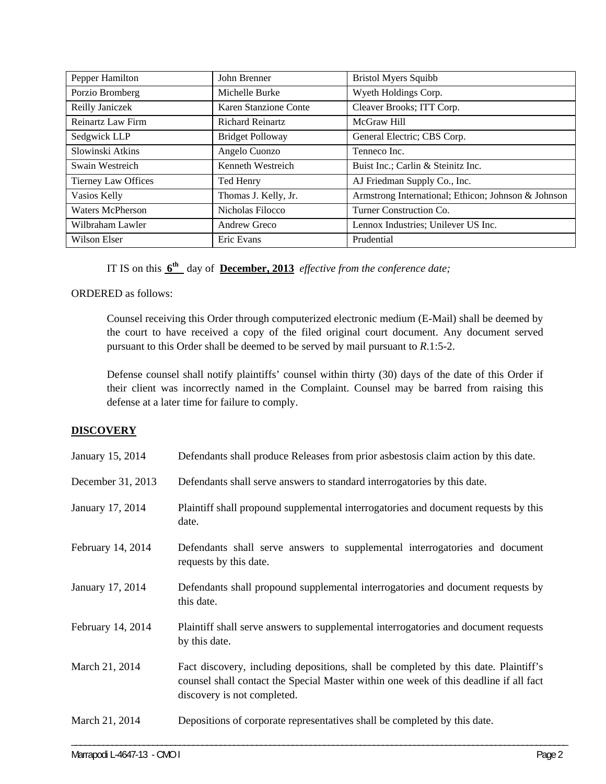| Pepper Hamilton     | John Brenner            | <b>Bristol Myers Squibb</b>                         |
|---------------------|-------------------------|-----------------------------------------------------|
| Porzio Bromberg     | Michelle Burke          | Wyeth Holdings Corp.                                |
| Reilly Janiczek     | Karen Stanzione Conte   | Cleaver Brooks; ITT Corp.                           |
| Reinartz Law Firm   | <b>Richard Reinartz</b> | McGraw Hill                                         |
| Sedgwick LLP        | <b>Bridget Polloway</b> | General Electric; CBS Corp.                         |
| Slowinski Atkins    | Angelo Cuonzo           | Tenneco Inc.                                        |
| Swain Westreich     | Kenneth Westreich       | Buist Inc.; Carlin & Steinitz Inc.                  |
| Tierney Law Offices | Ted Henry               | AJ Friedman Supply Co., Inc.                        |
| Vasios Kelly        | Thomas J. Kelly, Jr.    | Armstrong International; Ethicon; Johnson & Johnson |
| Waters McPherson    | Nicholas Filocco        | Turner Construction Co.                             |
| Wilbraham Lawler    | Andrew Greco            | Lennox Industries; Unilever US Inc.                 |
| Wilson Elser        | Eric Evans              | Prudential                                          |

IT IS on this **6th** day of **December, 2013** *effective from the conference date;*

## ORDERED as follows:

Counsel receiving this Order through computerized electronic medium (E-Mail) shall be deemed by the court to have received a copy of the filed original court document. Any document served pursuant to this Order shall be deemed to be served by mail pursuant to *R*.1:5-2.

Defense counsel shall notify plaintiffs' counsel within thirty (30) days of the date of this Order if their client was incorrectly named in the Complaint. Counsel may be barred from raising this defense at a later time for failure to comply.

### **DISCOVERY**

| January 15, 2014  | Defendants shall produce Releases from prior asbestosis claim action by this date.                                                                                                                          |
|-------------------|-------------------------------------------------------------------------------------------------------------------------------------------------------------------------------------------------------------|
| December 31, 2013 | Defendants shall serve answers to standard interrogatories by this date.                                                                                                                                    |
| January 17, 2014  | Plaintiff shall propound supplemental interrogatories and document requests by this<br>date.                                                                                                                |
| February 14, 2014 | Defendants shall serve answers to supplemental interrogatories and document<br>requests by this date.                                                                                                       |
| January 17, 2014  | Defendants shall propound supplemental interrogatories and document requests by<br>this date.                                                                                                               |
| February 14, 2014 | Plaintiff shall serve answers to supplemental interrogatories and document requests<br>by this date.                                                                                                        |
| March 21, 2014    | Fact discovery, including depositions, shall be completed by this date. Plaintiff's<br>counsel shall contact the Special Master within one week of this deadline if all fact<br>discovery is not completed. |
| March 21, 2014    | Depositions of corporate representatives shall be completed by this date.                                                                                                                                   |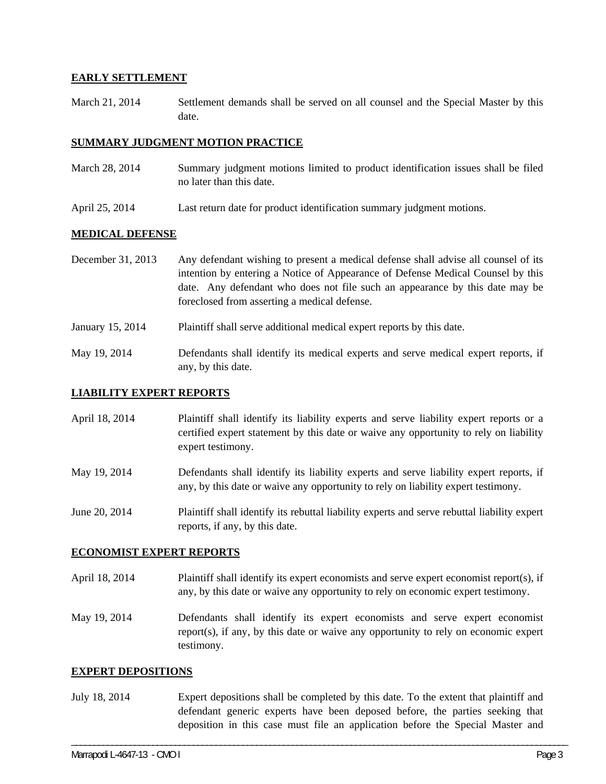### **EARLY SETTLEMENT**

March 21, 2014 Settlement demands shall be served on all counsel and the Special Master by this date.

### **SUMMARY JUDGMENT MOTION PRACTICE**

- March 28, 2014 Summary judgment motions limited to product identification issues shall be filed no later than this date.
- April 25, 2014 Last return date for product identification summary judgment motions.

### **MEDICAL DEFENSE**

- December 31, 2013 Any defendant wishing to present a medical defense shall advise all counsel of its intention by entering a Notice of Appearance of Defense Medical Counsel by this date. Any defendant who does not file such an appearance by this date may be foreclosed from asserting a medical defense.
- January 15, 2014 Plaintiff shall serve additional medical expert reports by this date.
- May 19, 2014 Defendants shall identify its medical experts and serve medical expert reports, if any, by this date.

#### **LIABILITY EXPERT REPORTS**

- April 18, 2014 Plaintiff shall identify its liability experts and serve liability expert reports or a certified expert statement by this date or waive any opportunity to rely on liability expert testimony.
- May 19, 2014 Defendants shall identify its liability experts and serve liability expert reports, if any, by this date or waive any opportunity to rely on liability expert testimony.
- June 20, 2014 Plaintiff shall identify its rebuttal liability experts and serve rebuttal liability expert reports, if any, by this date.

#### **ECONOMIST EXPERT REPORTS**

- April 18, 2014 Plaintiff shall identify its expert economists and serve expert economist report(s), if any, by this date or waive any opportunity to rely on economic expert testimony.
- May 19, 2014 Defendants shall identify its expert economists and serve expert economist report(s), if any, by this date or waive any opportunity to rely on economic expert testimony.

#### **EXPERT DEPOSITIONS**

July 18, 2014 Expert depositions shall be completed by this date. To the extent that plaintiff and defendant generic experts have been deposed before, the parties seeking that deposition in this case must file an application before the Special Master and

\_\_\_\_\_\_\_\_\_\_\_\_\_\_\_\_\_\_\_\_\_\_\_\_\_\_\_\_\_\_\_\_\_\_\_\_\_\_\_\_\_\_\_\_\_\_\_\_\_\_\_\_\_\_\_\_\_\_\_\_\_\_\_\_\_\_\_\_\_\_\_\_\_\_\_\_\_\_\_\_\_\_\_\_\_\_\_\_\_\_\_\_\_\_\_\_\_\_\_\_\_\_\_\_\_\_\_\_\_\_